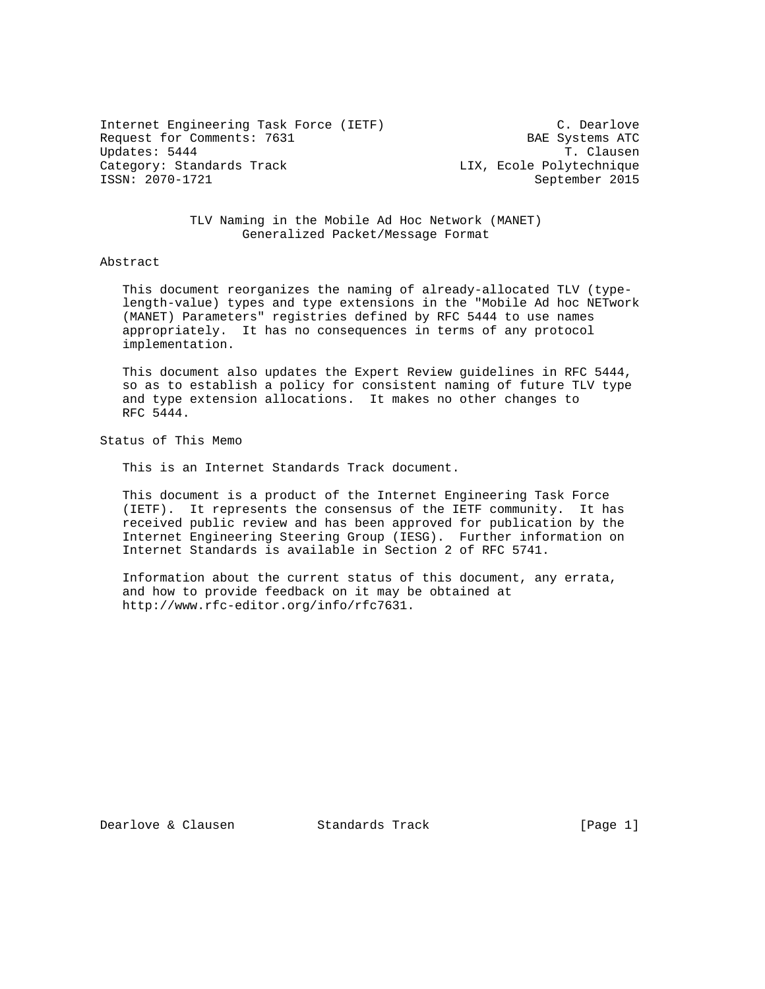Internet Engineering Task Force (IETF) C. Dearlove Request for Comments: 7631 BAE Systems ATC Updates: 5444 T. Clausen Category: Standards Track Category: Standards Track LIX, Ecole Polytechnique<br>
ISSN: 2070-1721 September 2015

September 2015

 TLV Naming in the Mobile Ad Hoc Network (MANET) Generalized Packet/Message Format

### Abstract

 This document reorganizes the naming of already-allocated TLV (type length-value) types and type extensions in the "Mobile Ad hoc NETwork (MANET) Parameters" registries defined by RFC 5444 to use names appropriately. It has no consequences in terms of any protocol implementation.

 This document also updates the Expert Review guidelines in RFC 5444, so as to establish a policy for consistent naming of future TLV type and type extension allocations. It makes no other changes to RFC 5444.

Status of This Memo

This is an Internet Standards Track document.

 This document is a product of the Internet Engineering Task Force (IETF). It represents the consensus of the IETF community. It has received public review and has been approved for publication by the Internet Engineering Steering Group (IESG). Further information on Internet Standards is available in Section 2 of RFC 5741.

 Information about the current status of this document, any errata, and how to provide feedback on it may be obtained at http://www.rfc-editor.org/info/rfc7631.

Dearlove & Clausen Standards Track [Page 1]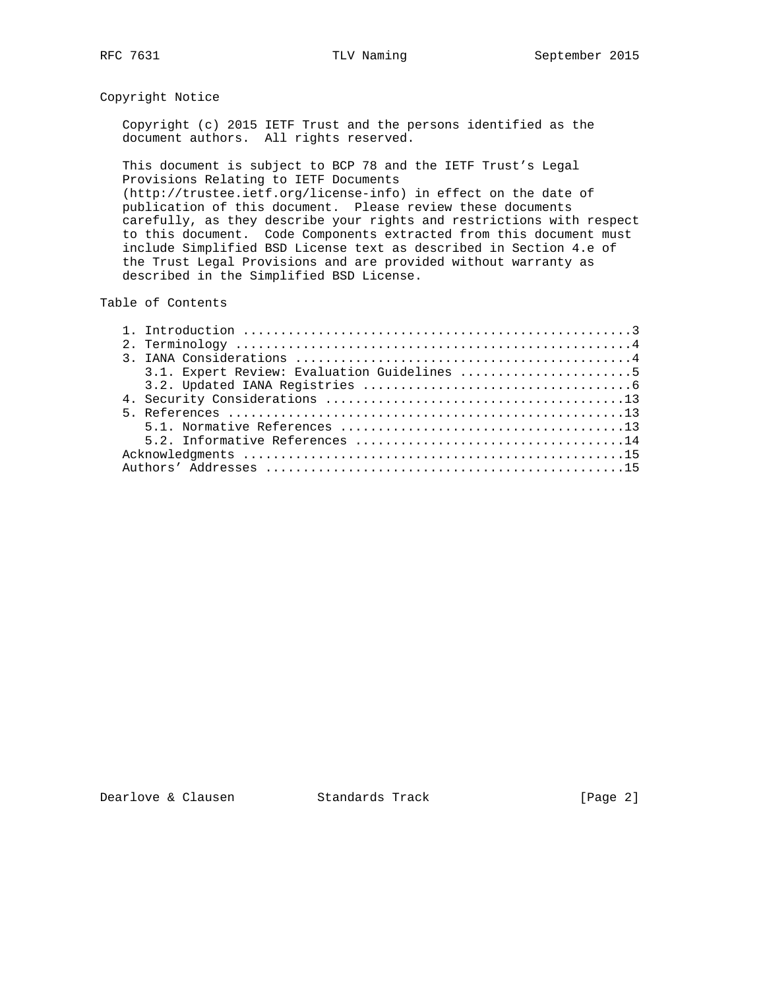# Copyright Notice

 Copyright (c) 2015 IETF Trust and the persons identified as the document authors. All rights reserved.

 This document is subject to BCP 78 and the IETF Trust's Legal Provisions Relating to IETF Documents (http://trustee.ietf.org/license-info) in effect on the date of publication of this document. Please review these documents carefully, as they describe your rights and restrictions with respect to this document. Code Components extracted from this document must include Simplified BSD License text as described in Section 4.e of the Trust Legal Provisions and are provided without warranty as described in the Simplified BSD License.

#### Table of Contents

| 3.1. Expert Review: Evaluation Guidelines 5 |
|---------------------------------------------|
|                                             |
|                                             |
|                                             |
|                                             |
|                                             |
|                                             |
|                                             |

Dearlove & Clausen Standards Track [Page 2]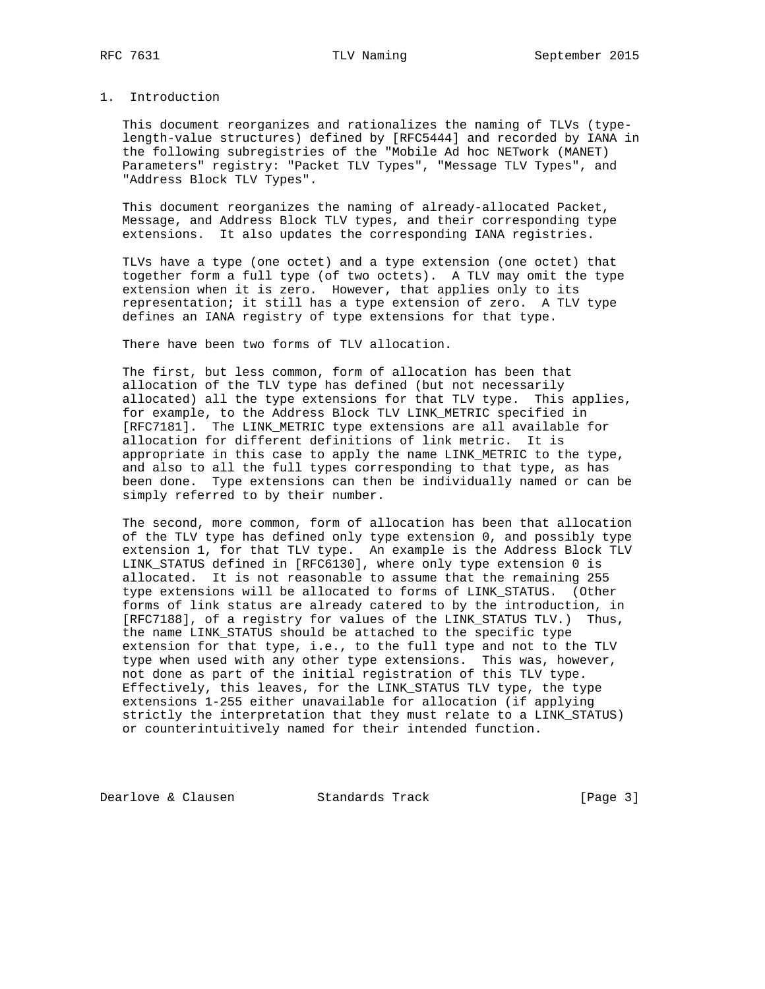# 1. Introduction

 This document reorganizes and rationalizes the naming of TLVs (type length-value structures) defined by [RFC5444] and recorded by IANA in the following subregistries of the "Mobile Ad hoc NETwork (MANET) Parameters" registry: "Packet TLV Types", "Message TLV Types", and "Address Block TLV Types".

 This document reorganizes the naming of already-allocated Packet, Message, and Address Block TLV types, and their corresponding type extensions. It also updates the corresponding IANA registries.

 TLVs have a type (one octet) and a type extension (one octet) that together form a full type (of two octets). A TLV may omit the type extension when it is zero. However, that applies only to its representation; it still has a type extension of zero. A TLV type defines an IANA registry of type extensions for that type.

There have been two forms of TLV allocation.

 The first, but less common, form of allocation has been that allocation of the TLV type has defined (but not necessarily allocated) all the type extensions for that TLV type. This applies, for example, to the Address Block TLV LINK\_METRIC specified in [RFC7181]. The LINK\_METRIC type extensions are all available for allocation for different definitions of link metric. It is appropriate in this case to apply the name LINK\_METRIC to the type, and also to all the full types corresponding to that type, as has been done. Type extensions can then be individually named or can be simply referred to by their number.

 The second, more common, form of allocation has been that allocation of the TLV type has defined only type extension 0, and possibly type extension 1, for that TLV type. An example is the Address Block TLV LINK\_STATUS defined in [RFC6130], where only type extension 0 is allocated. It is not reasonable to assume that the remaining 255 type extensions will be allocated to forms of LINK\_STATUS. (Other forms of link status are already catered to by the introduction, in [RFC7188], of a registry for values of the LINK\_STATUS TLV.) Thus, the name LINK\_STATUS should be attached to the specific type extension for that type, i.e., to the full type and not to the TLV type when used with any other type extensions. This was, however, not done as part of the initial registration of this TLV type. Effectively, this leaves, for the LINK\_STATUS TLV type, the type extensions 1-255 either unavailable for allocation (if applying strictly the interpretation that they must relate to a LINK\_STATUS) or counterintuitively named for their intended function.

Dearlove & Clausen Standards Track [Page 3]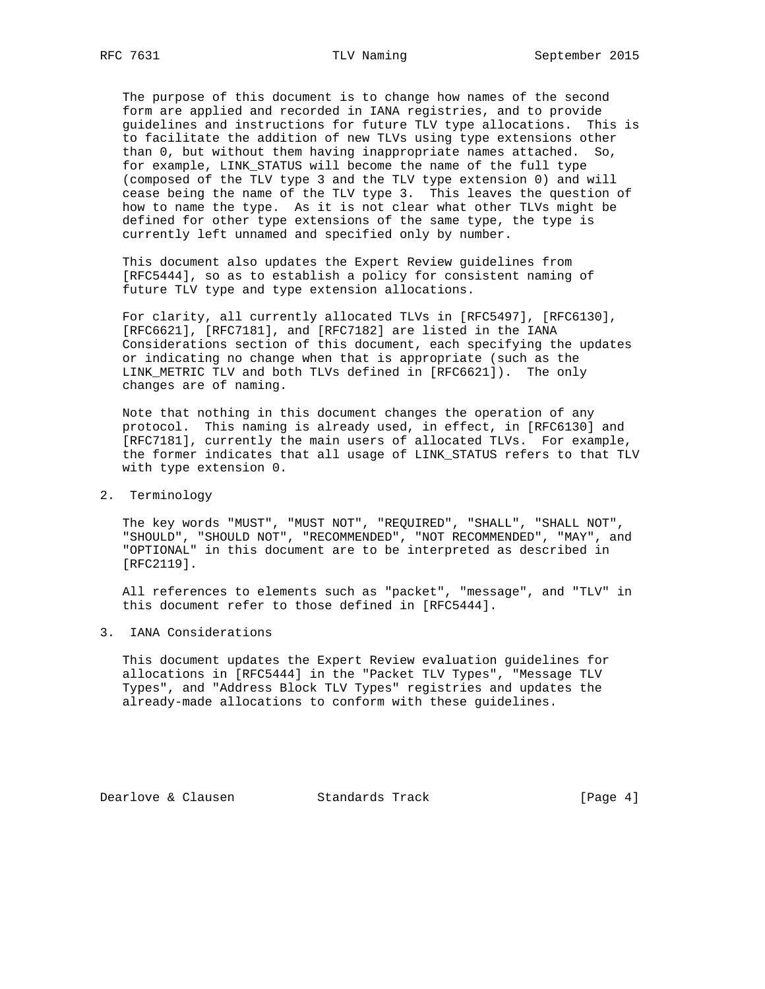The purpose of this document is to change how names of the second form are applied and recorded in IANA registries, and to provide guidelines and instructions for future TLV type allocations. This is to facilitate the addition of new TLVs using type extensions other than 0, but without them having inappropriate names attached. So, for example, LINK\_STATUS will become the name of the full type (composed of the TLV type 3 and the TLV type extension 0) and will cease being the name of the TLV type 3. This leaves the question of how to name the type. As it is not clear what other TLVs might be defined for other type extensions of the same type, the type is currently left unnamed and specified only by number.

 This document also updates the Expert Review guidelines from [RFC5444], so as to establish a policy for consistent naming of future TLV type and type extension allocations.

 For clarity, all currently allocated TLVs in [RFC5497], [RFC6130], [RFC6621], [RFC7181], and [RFC7182] are listed in the IANA Considerations section of this document, each specifying the updates or indicating no change when that is appropriate (such as the LINK\_METRIC TLV and both TLVs defined in [RFC6621]). The only changes are of naming.

 Note that nothing in this document changes the operation of any protocol. This naming is already used, in effect, in [RFC6130] and [RFC7181], currently the main users of allocated TLVs. For example, the former indicates that all usage of LINK\_STATUS refers to that TLV with type extension 0.

2. Terminology

 The key words "MUST", "MUST NOT", "REQUIRED", "SHALL", "SHALL NOT", "SHOULD", "SHOULD NOT", "RECOMMENDED", "NOT RECOMMENDED", "MAY", and "OPTIONAL" in this document are to be interpreted as described in [RFC2119].

 All references to elements such as "packet", "message", and "TLV" in this document refer to those defined in [RFC5444].

3. IANA Considerations

 This document updates the Expert Review evaluation guidelines for allocations in [RFC5444] in the "Packet TLV Types", "Message TLV Types", and "Address Block TLV Types" registries and updates the already-made allocations to conform with these guidelines.

Dearlove & Clausen Standards Track [Page 4]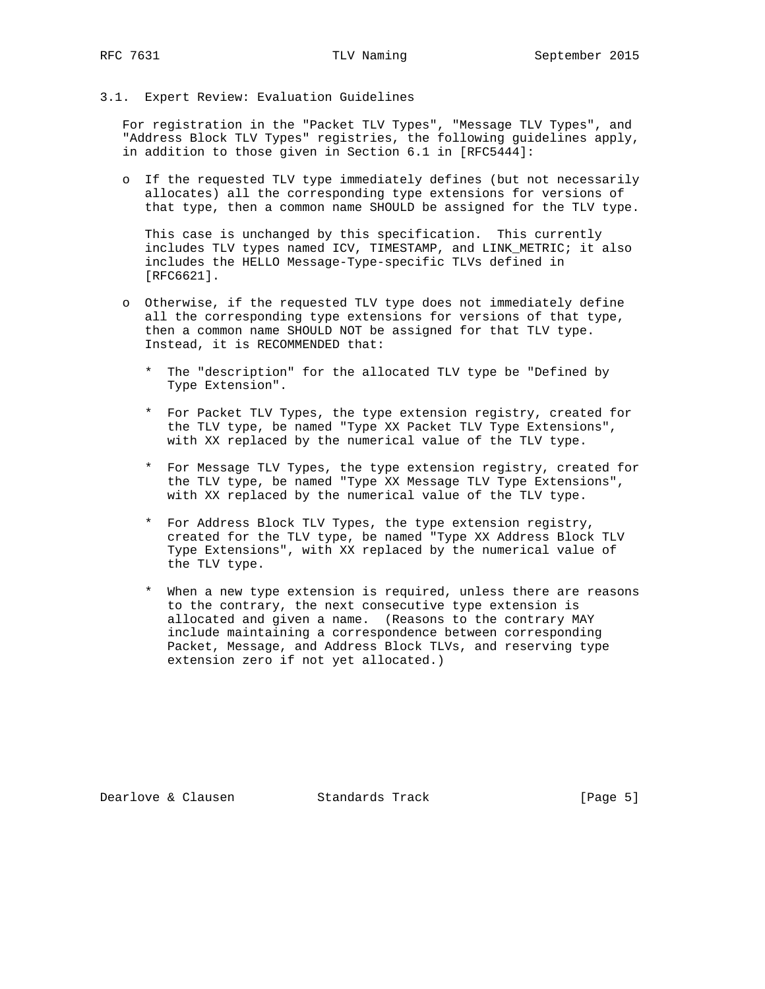### 3.1. Expert Review: Evaluation Guidelines

 For registration in the "Packet TLV Types", "Message TLV Types", and "Address Block TLV Types" registries, the following guidelines apply, in addition to those given in Section 6.1 in [RFC5444]:

 o If the requested TLV type immediately defines (but not necessarily allocates) all the corresponding type extensions for versions of that type, then a common name SHOULD be assigned for the TLV type.

 This case is unchanged by this specification. This currently includes TLV types named ICV, TIMESTAMP, and LINK\_METRIC; it also includes the HELLO Message-Type-specific TLVs defined in [RFC6621].

- o Otherwise, if the requested TLV type does not immediately define all the corresponding type extensions for versions of that type, then a common name SHOULD NOT be assigned for that TLV type. Instead, it is RECOMMENDED that:
	- \* The "description" for the allocated TLV type be "Defined by Type Extension".
	- \* For Packet TLV Types, the type extension registry, created for the TLV type, be named "Type XX Packet TLV Type Extensions", with XX replaced by the numerical value of the TLV type.
	- \* For Message TLV Types, the type extension registry, created for the TLV type, be named "Type XX Message TLV Type Extensions", with XX replaced by the numerical value of the TLV type.
	- \* For Address Block TLV Types, the type extension registry, created for the TLV type, be named "Type XX Address Block TLV Type Extensions", with XX replaced by the numerical value of the TLV type.
	- \* When a new type extension is required, unless there are reasons to the contrary, the next consecutive type extension is allocated and given a name. (Reasons to the contrary MAY include maintaining a correspondence between corresponding Packet, Message, and Address Block TLVs, and reserving type extension zero if not yet allocated.)

Dearlove & Clausen Standards Track [Page 5]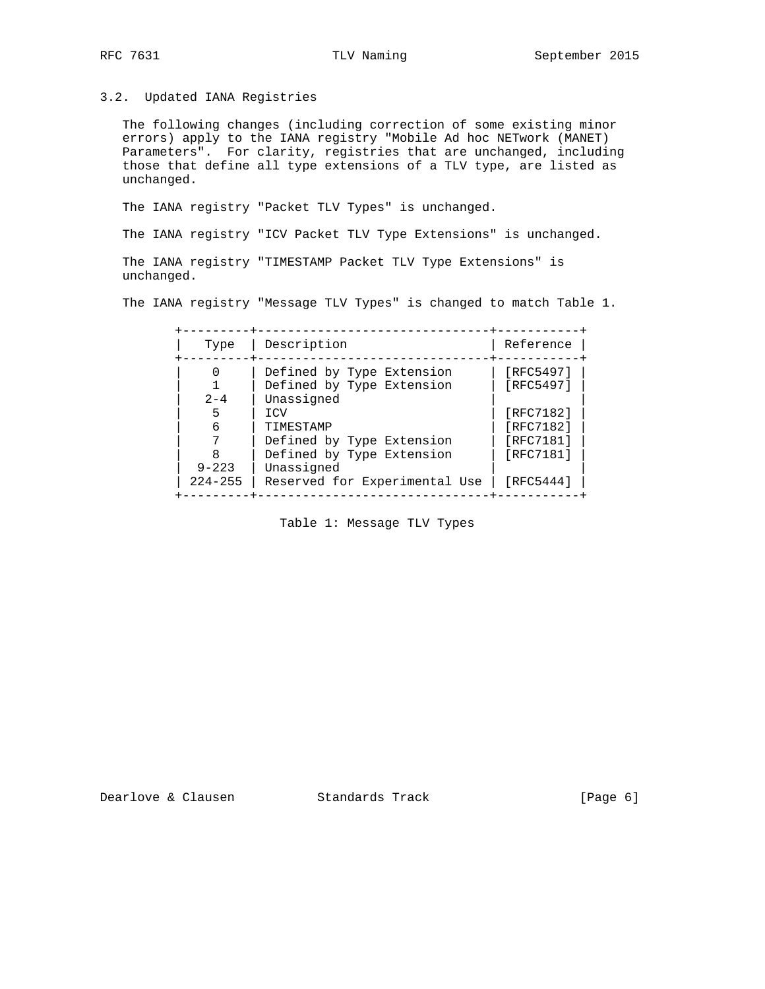3.2. Updated IANA Registries

 The following changes (including correction of some existing minor errors) apply to the IANA registry "Mobile Ad hoc NETwork (MANET) Parameters". For clarity, registries that are unchanged, including those that define all type extensions of a TLV type, are listed as unchanged.

The IANA registry "Packet TLV Types" is unchanged.

The IANA registry "ICV Packet TLV Type Extensions" is unchanged.

 The IANA registry "TIMESTAMP Packet TLV Type Extensions" is unchanged.

The IANA registry "Message TLV Types" is changed to match Table 1.

| Type                     | Description                                                                       | Reference                                        |
|--------------------------|-----------------------------------------------------------------------------------|--------------------------------------------------|
| $2 - 4$                  | Defined by Type Extension<br>Defined by Type Extension<br>Unassigned              | [RFC5497]<br>[RFC5497]                           |
| 5<br>6                   | <b>TCV</b><br>TIMESTAMP<br>Defined by Type Extension<br>Defined by Type Extension | [RFC7182]<br>[RFC7182]<br>[RFC7181]<br>[RFC7181] |
| $9 - 223$<br>$224 - 255$ | Unassigned<br>Reserved for Experimental Use                                       | [RFC5444]                                        |

Table 1: Message TLV Types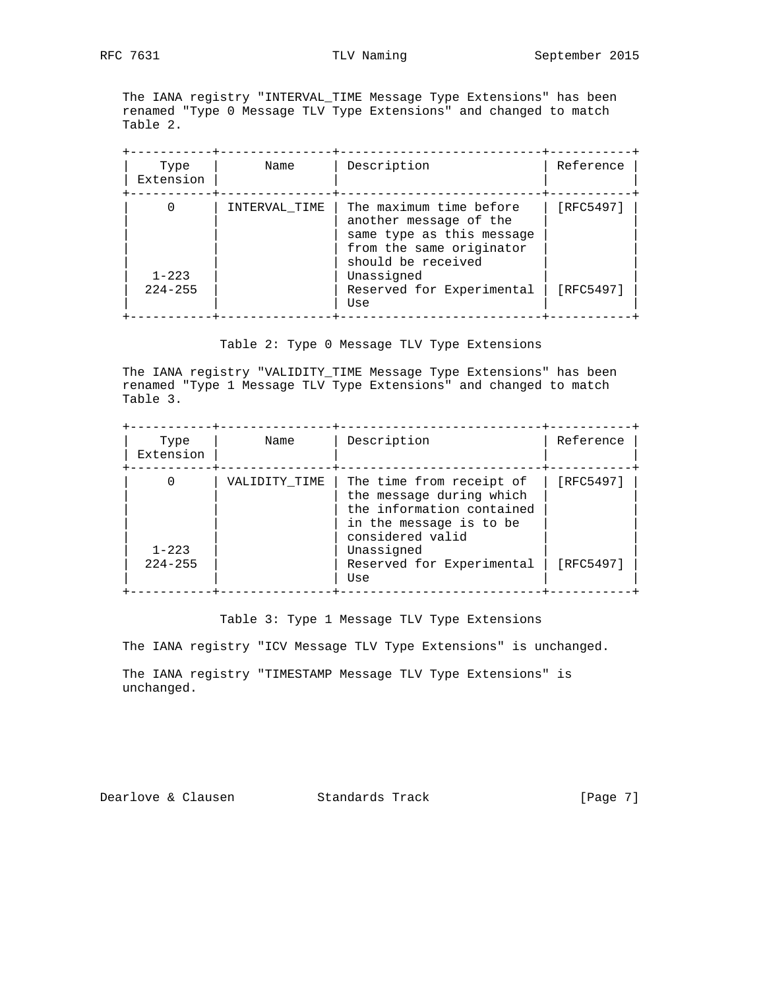The IANA registry "INTERVAL\_TIME Message Type Extensions" has been renamed "Type 0 Message TLV Type Extensions" and changed to match Table 2.

| Type<br>Extension        | Name          | Description                                                                                                                      | Reference |
|--------------------------|---------------|----------------------------------------------------------------------------------------------------------------------------------|-----------|
|                          | INTERVAL TIME | The maximum time before<br>another message of the<br>same type as this message<br>from the same originator<br>should be received | [RFC5497] |
| $1 - 223$<br>$224 - 255$ |               | Unassigned<br>Reserved for Experimental<br>Use                                                                                   | [RFC5497] |

# Table 2: Type 0 Message TLV Type Extensions

 The IANA registry "VALIDITY\_TIME Message Type Extensions" has been renamed "Type 1 Message TLV Type Extensions" and changed to match Table 3.

| Type<br>Extension | Name          | Description                                                                                                                                    | Reference |
|-------------------|---------------|------------------------------------------------------------------------------------------------------------------------------------------------|-----------|
| $1 - 223$         | VALIDITY TIME | The time from receipt of<br>the message during which<br>the information contained<br>in the message is to be<br>considered valid<br>Unassigned | [RFC5497] |
| $224 - 255$       |               | Reserved for Experimental<br>Use                                                                                                               | [RFC5497] |

## Table 3: Type 1 Message TLV Type Extensions

The IANA registry "ICV Message TLV Type Extensions" is unchanged.

 The IANA registry "TIMESTAMP Message TLV Type Extensions" is unchanged.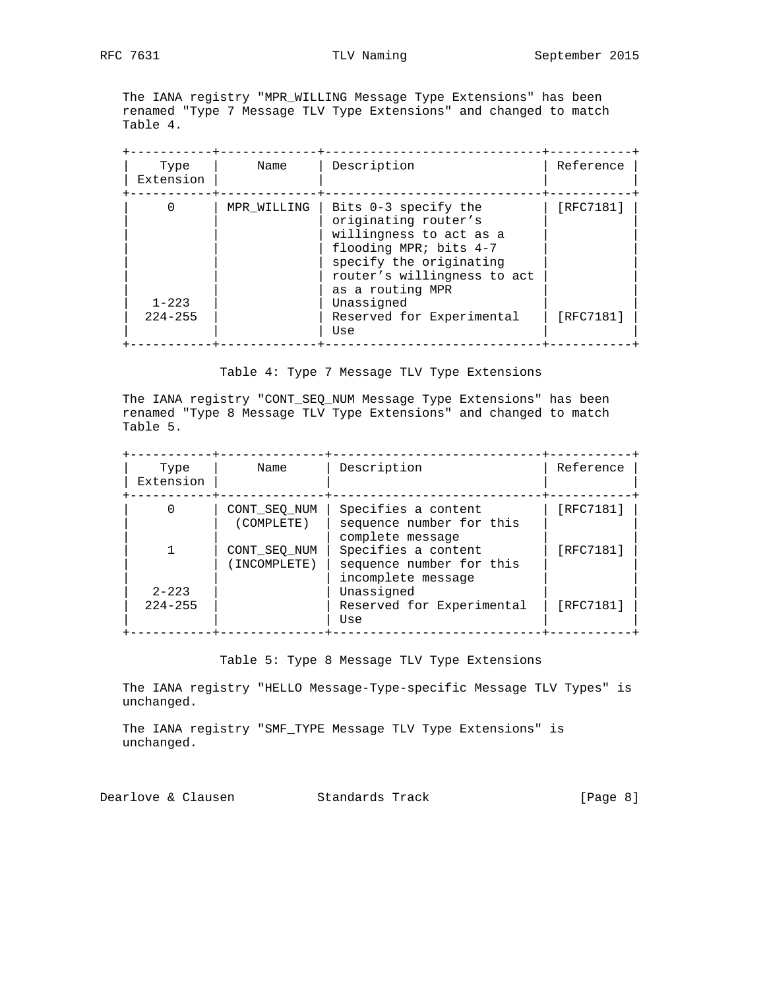The IANA registry "MPR\_WILLING Message Type Extensions" has been renamed "Type 7 Message TLV Type Extensions" and changed to match Table 4.

| Type<br>Extension        |
|--------------------------|
| $1 - 223$<br>$224 - 255$ |

Table 4: Type 7 Message TLV Type Extensions

 The IANA registry "CONT\_SEQ\_NUM Message Type Extensions" has been renamed "Type 8 Message TLV Type Extensions" and changed to match Table 5.

| Type<br>Extension        | Name                         | Description                                                           | Reference |
|--------------------------|------------------------------|-----------------------------------------------------------------------|-----------|
|                          | CONT SEO NUM<br>(COMPLETE)   | Specifies a content<br>sequence number for this<br>complete message   | [RFC7181] |
|                          | CONT SEO NUM<br>(INCOMPLETE) | Specifies a content<br>sequence number for this<br>incomplete message | [RFC7181] |
| $2 - 223$<br>$224 - 255$ |                              | Unassigned<br>Reserved for Experimental<br>Use                        | [RFC7181] |

Table 5: Type 8 Message TLV Type Extensions

 The IANA registry "HELLO Message-Type-specific Message TLV Types" is unchanged.

 The IANA registry "SMF\_TYPE Message TLV Type Extensions" is unchanged.

Dearlove & Clausen Standards Track [Page 8]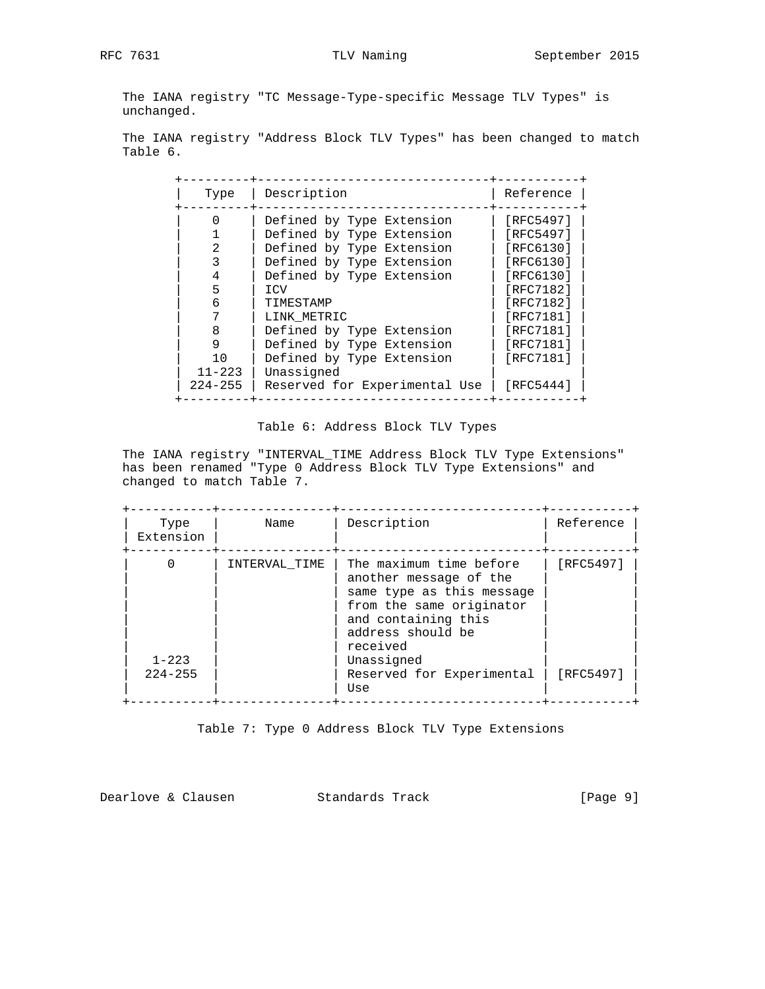The IANA registry "TC Message-Type-specific Message TLV Types" is unchanged.

 The IANA registry "Address Block TLV Types" has been changed to match Table 6.

| Type                                      | Description                                                                                                                                                                      | Reference                                                                                            |
|-------------------------------------------|----------------------------------------------------------------------------------------------------------------------------------------------------------------------------------|------------------------------------------------------------------------------------------------------|
| 6                                         | Defined by Type Extension<br>Defined by Type Extension<br>Defined by Type Extension<br>Defined by Type Extension<br>Defined by Type Extension<br>ICV<br>TIMESTAMP<br>LINK METRIC | [RFC5497]<br>[RFC5497]<br>[RFC6130]<br>[RFC6130]<br>[RFC6130]<br>[RFC7182]<br>[RFC7182]<br>[RFC7181] |
| 8<br>9<br>10<br>$11 - 223$<br>$224 - 255$ | Defined by Type Extension<br>Defined by Type Extension<br>Defined by Type Extension<br>Unassigned<br>Reserved for Experimental Use                                               | [RFC7181]<br>[RFC7181]<br>[RFC7181]<br>[RFC5444]                                                     |

## Table 6: Address Block TLV Types

 The IANA registry "INTERVAL\_TIME Address Block TLV Type Extensions" has been renamed "Type 0 Address Block TLV Type Extensions" and changed to match Table 7.

| Description<br>Reference<br>Name<br>Type<br>[RFC5497]<br>The maximum time before<br>INTERVAL TIME<br>another message of the<br>same type as this message<br>from the same originator<br>and containing this<br>address should be<br>received<br>Unassigned<br>$1 - 223$<br>[RFC5497]<br>$224 - 255$<br>Reserved for Experimental<br>Use |           |  |  |
|-----------------------------------------------------------------------------------------------------------------------------------------------------------------------------------------------------------------------------------------------------------------------------------------------------------------------------------------|-----------|--|--|
|                                                                                                                                                                                                                                                                                                                                         | Extension |  |  |
|                                                                                                                                                                                                                                                                                                                                         |           |  |  |

Table 7: Type 0 Address Block TLV Type Extensions

Dearlove & Clausen Standards Track [Page 9]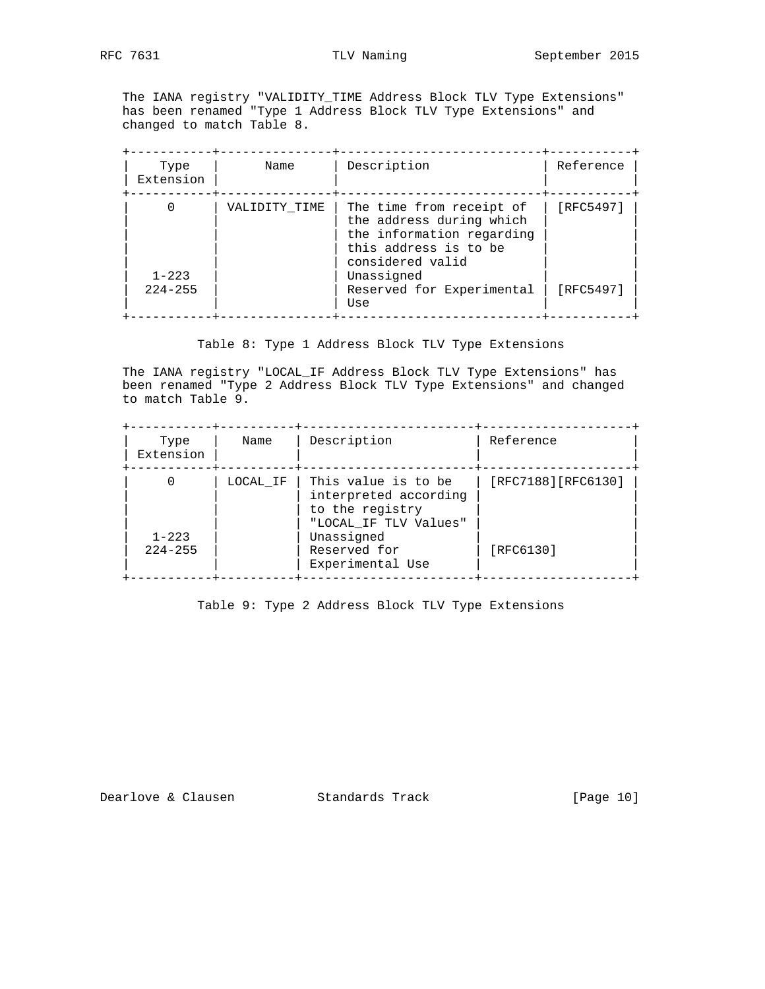The IANA registry "VALIDITY\_TIME Address Block TLV Type Extensions" has been renamed "Type 1 Address Block TLV Type Extensions" and changed to match Table 8.

| Type<br>Extension        | Name          | Description                                                                                                                    | Reference |
|--------------------------|---------------|--------------------------------------------------------------------------------------------------------------------------------|-----------|
|                          | VALIDITY TIME | The time from receipt of<br>the address during which<br>the information regarding<br>this address is to be<br>considered valid | [RFC5497] |
| $1 - 223$<br>$224 - 255$ |               | Unassigned<br>Reserved for Experimental<br>Use                                                                                 | [RFC5497] |

Table 8: Type 1 Address Block TLV Type Extensions

 The IANA registry "LOCAL\_IF Address Block TLV Type Extensions" has been renamed "Type 2 Address Block TLV Type Extensions" and changed to match Table 9.

| Type<br>Extension        | Name     | Description                                                                              | Reference           |
|--------------------------|----------|------------------------------------------------------------------------------------------|---------------------|
|                          | LOCAL IF | This value is to be<br>interpreted according<br>to the registry<br>"LOCAL IF TLV Values" | [RFC7188] [RFC6130] |
| $1 - 223$<br>$224 - 255$ |          | Unassigned<br>Reserved for<br>Experimental Use                                           | [RFC6130]           |

Table 9: Type 2 Address Block TLV Type Extensions

Dearlove & Clausen Standards Track [Page 10]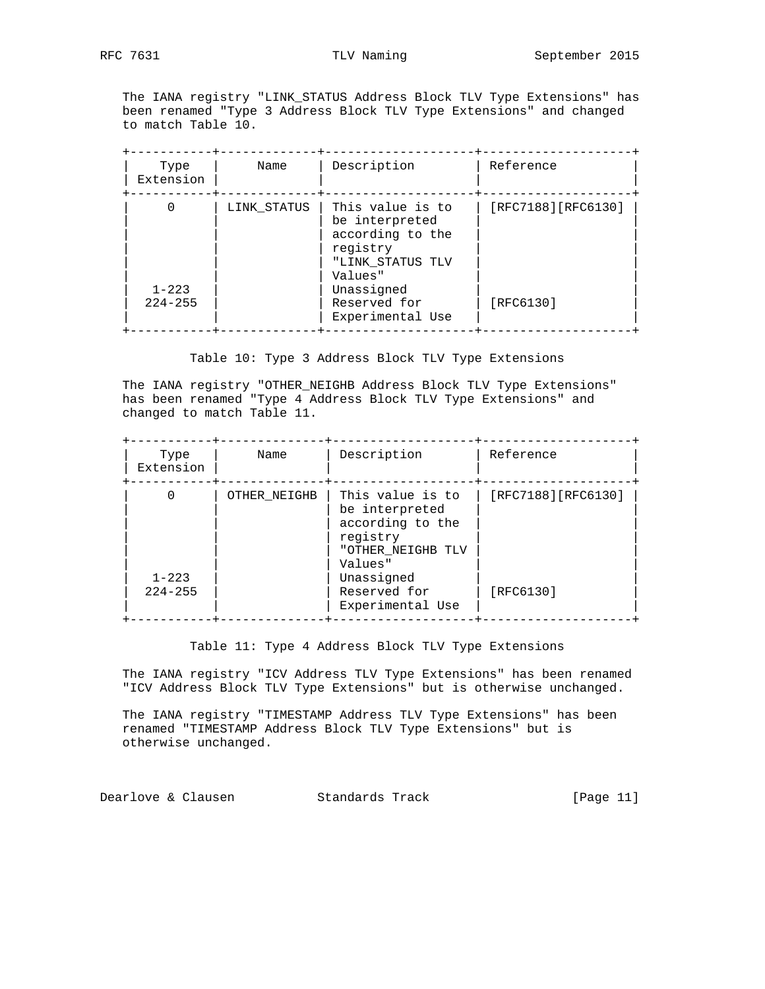The IANA registry "LINK\_STATUS Address Block TLV Type Extensions" has been renamed "Type 3 Address Block TLV Type Extensions" and changed to match Table 10.

| Type<br>Extension        | Name        | Description                                                                                       | Reference           |
|--------------------------|-------------|---------------------------------------------------------------------------------------------------|---------------------|
|                          | LINK STATUS | This value is to<br>be interpreted<br>according to the<br>registry<br>"LINK STATUS TLV<br>Values" | [RFC7188] [RFC6130] |
| $1 - 223$<br>$224 - 255$ |             | Unassigned<br>Reserved for<br>Experimental Use                                                    | [RFC6130]           |

Table 10: Type 3 Address Block TLV Type Extensions

 The IANA registry "OTHER\_NEIGHB Address Block TLV Type Extensions" has been renamed "Type 4 Address Block TLV Type Extensions" and changed to match Table 11.

| Type<br>Extension        | Name         | Description                                                                                        | Reference           |
|--------------------------|--------------|----------------------------------------------------------------------------------------------------|---------------------|
|                          | OTHER NEIGHB | This value is to<br>be interpreted<br>according to the<br>registry<br>"OTHER NEIGHB TLV<br>Values" | [RFC7188] [RFC6130] |
| $1 - 223$<br>$224 - 255$ |              | Unassigned<br>Reserved for<br>Experimental Use                                                     | [RFC6130]           |

Table 11: Type 4 Address Block TLV Type Extensions

 The IANA registry "ICV Address TLV Type Extensions" has been renamed "ICV Address Block TLV Type Extensions" but is otherwise unchanged.

 The IANA registry "TIMESTAMP Address TLV Type Extensions" has been renamed "TIMESTAMP Address Block TLV Type Extensions" but is otherwise unchanged.

Dearlove & Clausen Standards Track [Page 11]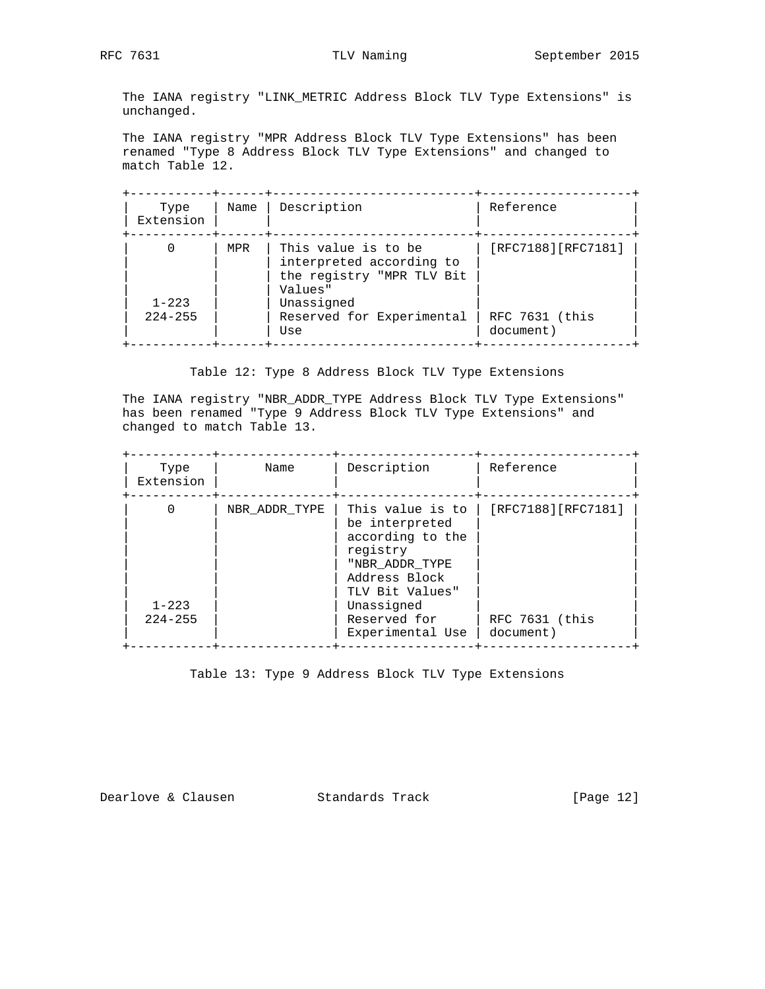The IANA registry "LINK\_METRIC Address Block TLV Type Extensions" is unchanged.

 The IANA registry "MPR Address Block TLV Type Extensions" has been renamed "Type 8 Address Block TLV Type Extensions" and changed to match Table 12.

| Type<br>Extension        | Name | Description                                                                             | Reference                   |
|--------------------------|------|-----------------------------------------------------------------------------------------|-----------------------------|
|                          | MPR  | This value is to be<br>interpreted according to<br>the registry "MPR TLV Bit<br>Values" | [RFC7188][RFC7181]          |
| $1 - 223$<br>$224 - 255$ |      | Unassigned<br>Reserved for Experimental<br>Use                                          | RFC 7631 (this<br>document) |

Table 12: Type 8 Address Block TLV Type Extensions

 The IANA registry "NBR\_ADDR\_TYPE Address Block TLV Type Extensions" has been renamed "Type 9 Address Block TLV Type Extensions" and changed to match Table 13.

| Type<br>Extension        | Name          | Description                                                                                                                                                                | Reference                                         |
|--------------------------|---------------|----------------------------------------------------------------------------------------------------------------------------------------------------------------------------|---------------------------------------------------|
| $1 - 223$<br>$224 - 255$ | NBR ADDR TYPE | This value is to<br>be interpreted<br>according to the<br>registry<br>"NBR ADDR TYPE<br>Address Block<br>TLV Bit Values"<br>Unassigned<br>Reserved for<br>Experimental Use | [RFC7188][RFC7181]<br>RFC 7631 (this<br>document) |

Table 13: Type 9 Address Block TLV Type Extensions

Dearlove & Clausen Standards Track [Page 12]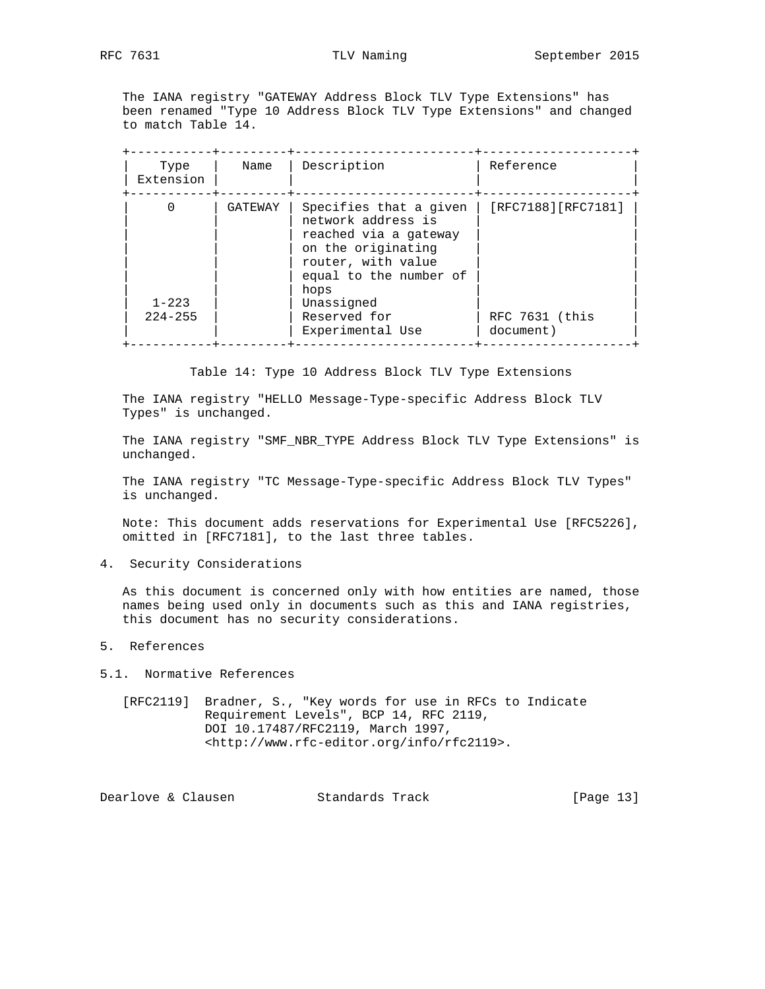The IANA registry "GATEWAY Address Block TLV Type Extensions" has been renamed "Type 10 Address Block TLV Type Extensions" and changed to match Table 14.

| Type<br>Extension | Name    | Description                                                                                                                                                       | Reference                   |
|-------------------|---------|-------------------------------------------------------------------------------------------------------------------------------------------------------------------|-----------------------------|
| $1 - 223$         | GATEWAY | Specifies that a given<br>network address is<br>reached via a gateway<br>on the originating<br>router, with value<br>equal to the number of<br>hops<br>Unassigned | [RFC7188][RFC7181]          |
| $224 - 255$       |         | Reserved for<br>Experimental Use                                                                                                                                  | RFC 7631 (this<br>document) |

Table 14: Type 10 Address Block TLV Type Extensions

 The IANA registry "HELLO Message-Type-specific Address Block TLV Types" is unchanged.

 The IANA registry "SMF\_NBR\_TYPE Address Block TLV Type Extensions" is unchanged.

 The IANA registry "TC Message-Type-specific Address Block TLV Types" is unchanged.

 Note: This document adds reservations for Experimental Use [RFC5226], omitted in [RFC7181], to the last three tables.

4. Security Considerations

 As this document is concerned only with how entities are named, those names being used only in documents such as this and IANA registries, this document has no security considerations.

5. References

5.1. Normative References

 [RFC2119] Bradner, S., "Key words for use in RFCs to Indicate Requirement Levels", BCP 14, RFC 2119, DOI 10.17487/RFC2119, March 1997, <http://www.rfc-editor.org/info/rfc2119>.

Dearlove & Clausen Standards Track [Page 13]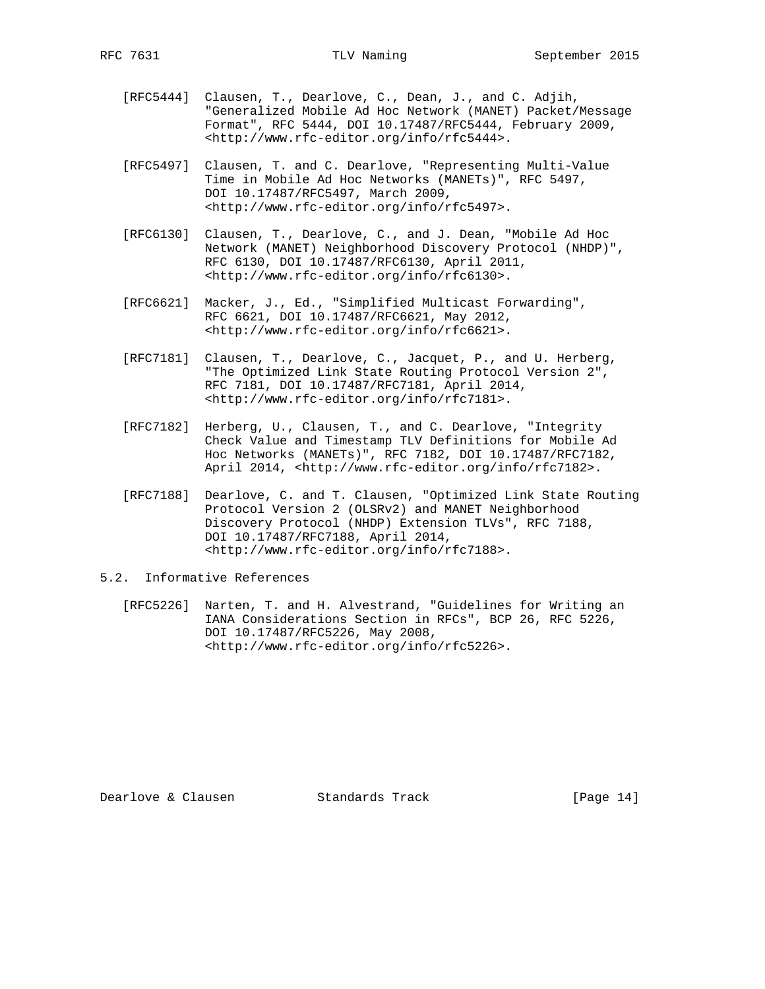- [RFC5444] Clausen, T., Dearlove, C., Dean, J., and C. Adjih, "Generalized Mobile Ad Hoc Network (MANET) Packet/Message Format", RFC 5444, DOI 10.17487/RFC5444, February 2009, <http://www.rfc-editor.org/info/rfc5444>.
- [RFC5497] Clausen, T. and C. Dearlove, "Representing Multi-Value Time in Mobile Ad Hoc Networks (MANETs)", RFC 5497, DOI 10.17487/RFC5497, March 2009, <http://www.rfc-editor.org/info/rfc5497>.
- [RFC6130] Clausen, T., Dearlove, C., and J. Dean, "Mobile Ad Hoc Network (MANET) Neighborhood Discovery Protocol (NHDP)", RFC 6130, DOI 10.17487/RFC6130, April 2011, <http://www.rfc-editor.org/info/rfc6130>.
- [RFC6621] Macker, J., Ed., "Simplified Multicast Forwarding", RFC 6621, DOI 10.17487/RFC6621, May 2012, <http://www.rfc-editor.org/info/rfc6621>.
- [RFC7181] Clausen, T., Dearlove, C., Jacquet, P., and U. Herberg, "The Optimized Link State Routing Protocol Version 2", RFC 7181, DOI 10.17487/RFC7181, April 2014, <http://www.rfc-editor.org/info/rfc7181>.
- [RFC7182] Herberg, U., Clausen, T., and C. Dearlove, "Integrity Check Value and Timestamp TLV Definitions for Mobile Ad Hoc Networks (MANETs)", RFC 7182, DOI 10.17487/RFC7182, April 2014, <http://www.rfc-editor.org/info/rfc7182>.
- [RFC7188] Dearlove, C. and T. Clausen, "Optimized Link State Routing Protocol Version 2 (OLSRv2) and MANET Neighborhood Discovery Protocol (NHDP) Extension TLVs", RFC 7188, DOI 10.17487/RFC7188, April 2014, <http://www.rfc-editor.org/info/rfc7188>.

## 5.2. Informative References

 [RFC5226] Narten, T. and H. Alvestrand, "Guidelines for Writing an IANA Considerations Section in RFCs", BCP 26, RFC 5226, DOI 10.17487/RFC5226, May 2008, <http://www.rfc-editor.org/info/rfc5226>.

Dearlove & Clausen Standards Track [Page 14]